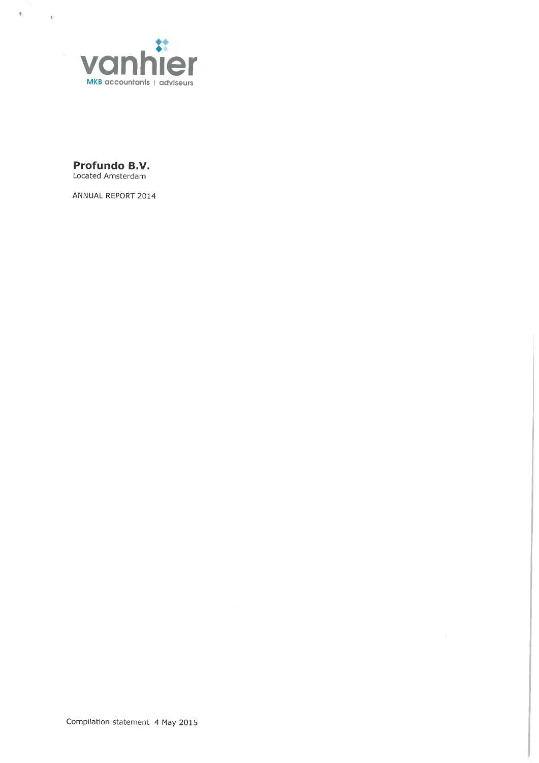

Profundo B.V. Located Amsterdam

 $\mathbf{q}$ 

 $\sim 100$ 

ANNUAL REPORT 2014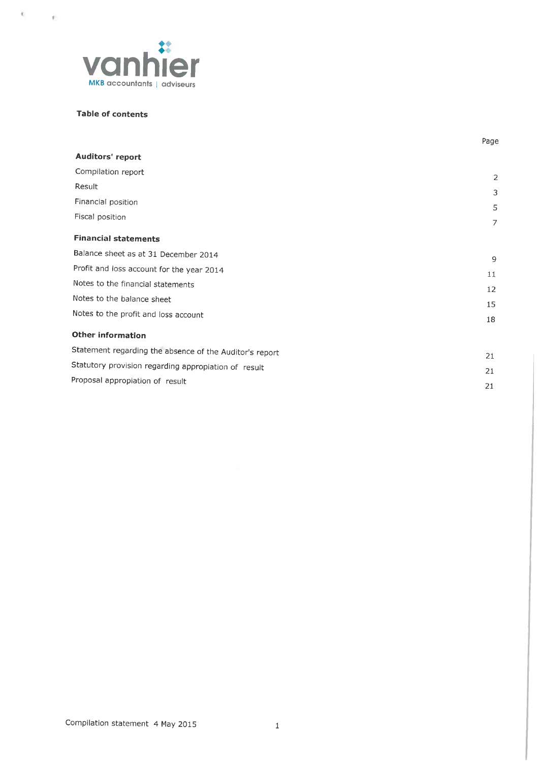

# Table of contents

f 1

|                                                         | Page              |
|---------------------------------------------------------|-------------------|
| Auditors' report                                        |                   |
| Compilation report                                      | 2                 |
| Result                                                  | 3                 |
| Financial position                                      | 5                 |
| Fiscal position                                         | $\overline{7}$    |
| <b>Financial statements</b>                             |                   |
| Balance sheet as at 31 December 2014                    | 9                 |
| Profit and loss account for the year 2014               | 11                |
| Notes to the financial statements                       | $12 \overline{ }$ |
| Notes to the balance sheet                              | 15                |
| Notes to the profit and loss account                    | 18                |
| Other information                                       |                   |
| Statement regarding the absence of the Auditor's report | 21                |
| Statutory provision regarding appropiation of result    | 21                |
| Proposal appropiation of result                         | 21                |
|                                                         |                   |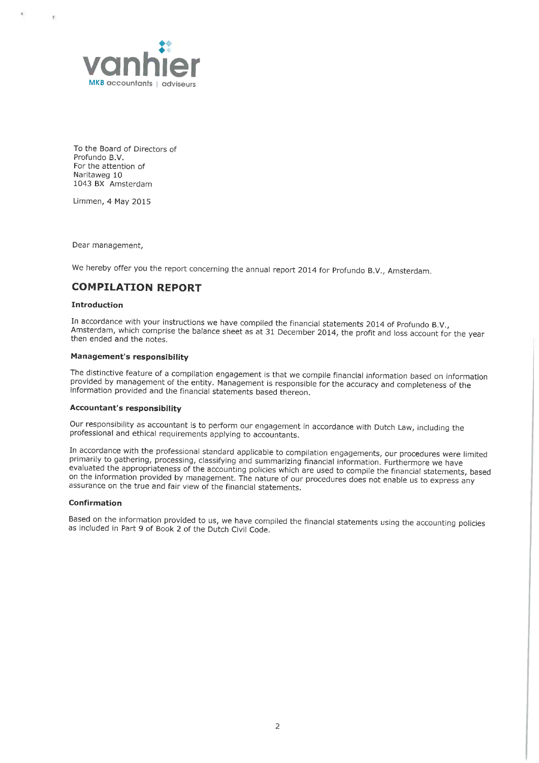

To the Board of Directors of Profundo B.V. For the attention of Naritaweg 10 1043 BX Amsterdam

Limmen, 4 May 2015

 $\bar{\tau}$ 

Dear management,

We hereby offer you the report concerning the annual report 2014 for Profundo B.V., Amsterdam.

# COMPILATION REPORT

#### Introduction

In accordance with your instructions we have compiled the financial statements 2014 of Profundo B.V.,<br>Amsterdam, which comprise the balance sheet as at 31 December 2014, the profit and loss account for the year<br>then ended

#### Management's responsibility

The distinctive feature of a compilation engagement is that we compile financial information based on information provided by management of the entity. Management is responsible for the accuracy and completeness of the inf

#### Accountant's responsibility

Our responsibility as accountant is to perform our engagement in accordance with Dutch Law, including the professional and ethica) requirements applying to accountants.

In accordance with the professional standard applicable to compilation engagements, our procedures were limited<br>primarily to gathering, processing, classifying and summarizing financial information. Furthermore we have<br>eva on the information provided by management. The nature of our procedures does not enable us to express any assurance on the true and fair view of the financial statements.

#### Confirmation

Based on the information provided to us, we have compiled the financial statements using the accounting policies as included in Part 9 of Book 2 of the Dutch Civil Code.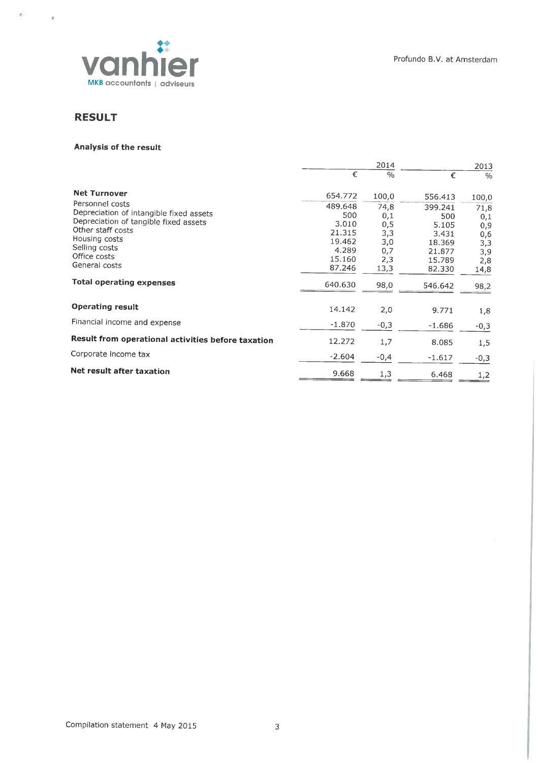

# RESULT

 $\psi$ 

 $\sim$   $\mu$ 

# Analysis of the result

|                                                    |          | 2014          |          | 2013   |  |
|----------------------------------------------------|----------|---------------|----------|--------|--|
|                                                    | €        | $\frac{0}{0}$ | €        | $\%$   |  |
| <b>Net Turnover</b>                                | 654.772  | 100,0         | 556.413  | 100,0  |  |
| Personnel costs                                    | 489.648  | 74,8          | 399.241  | 71,8   |  |
| Depreciation of intangible fixed assets            | 500      | 0,1           | 500      | 0,1    |  |
| Depreciation of tangible fixed assets              | 3.010    | 0,5           | 5.105    | 0,9    |  |
| Other staff costs                                  | 21.315   | 3,3           | 3.431    | 0,6    |  |
| Housing costs                                      | 19.462   | 3,0           | 18,369   | 3,3    |  |
| Selling costs                                      | 4.289    | 0,7           | 21.877   | 3,9    |  |
| Office costs                                       | 15.160   | 2,3           | 15.789   | 2,8    |  |
| General costs                                      | 87.246   | 13,3          | 82.330   | 14,8   |  |
| <b>Total operating expenses</b>                    | 640.630  | 98,0          | 546.642  | 98,2   |  |
| <b>Operating result</b>                            | 14.142   | 2,0           | 9.771    | 1,8    |  |
| Financial income and expense                       | $-1.870$ | $-0,3$        | $-1.686$ | $-0,3$ |  |
| Result from operational activities before taxation | 12.272   | 1,7           | 8.085    | 1,5    |  |
| Corporate income tax                               | $-2.604$ | $-0,4$        | $-1.617$ | $-0,3$ |  |
| Net result after taxation                          | 9.668    | 1,3           | 6.468    | 1,2    |  |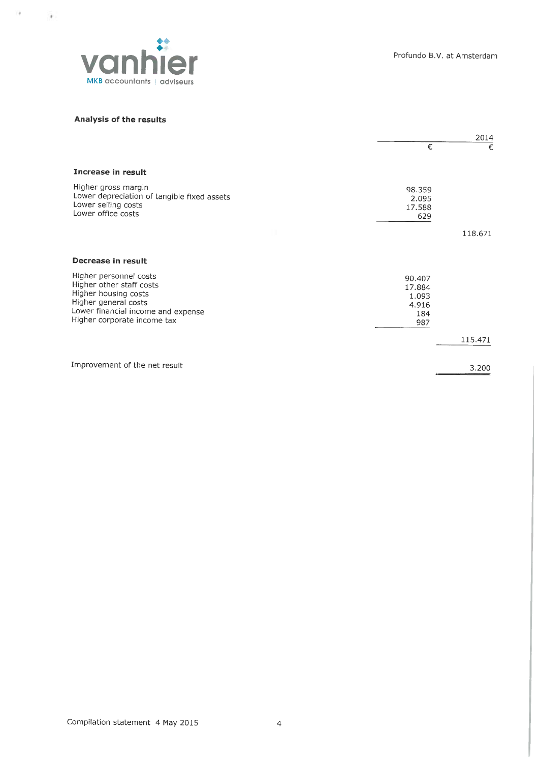

# Analysis of the results

 $\alpha = -\frac{1}{2}$ 

|                                                                                                                                                                         | 2014                                             |         |
|-------------------------------------------------------------------------------------------------------------------------------------------------------------------------|--------------------------------------------------|---------|
|                                                                                                                                                                         | €                                                | €       |
| Increase in result                                                                                                                                                      |                                                  |         |
| Higher gross margin<br>Lower depreciation of tangible fixed assets<br>Lower selling costs<br>Lower office costs                                                         | 98.359<br>2.095<br>17.588<br>629                 |         |
|                                                                                                                                                                         |                                                  | 118.671 |
| Decrease in result                                                                                                                                                      |                                                  |         |
| Higher personnel costs<br>Higher other staff costs<br>Higher housing costs<br>Higher general costs<br>Lower financial income and expense<br>Higher corporate income tax | 90.407<br>17.884<br>1.093<br>4.916<br>184<br>987 |         |
|                                                                                                                                                                         |                                                  | 115.471 |
| Improvement of the net result                                                                                                                                           |                                                  | 3.200   |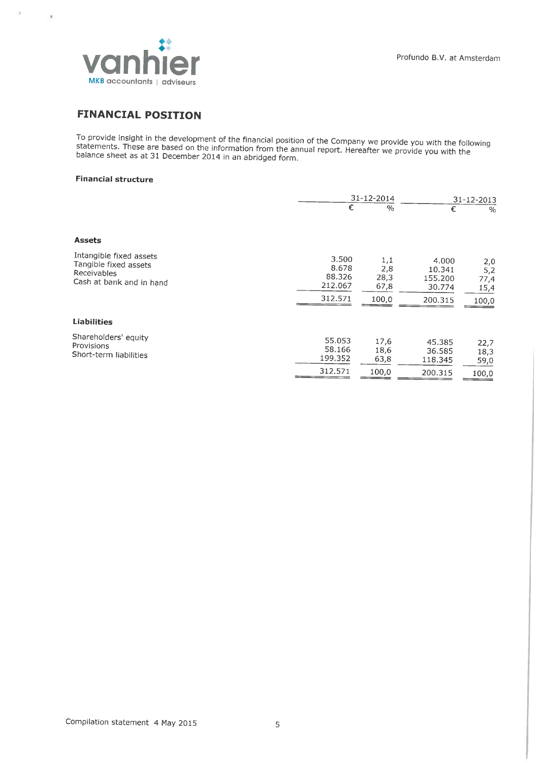

# FINANCIAL POSITION

To provide insight in the development of the financial position of the Company we provide you with the following<br>statements. These are based on the information from the annual report. Hereafter we provide you with the<br>bala

## Financial structure

r

 $\rightarrow$ 

|                                                                                             |                                                | 31-12-2014                          |                                                 | 31-12-2013                          |
|---------------------------------------------------------------------------------------------|------------------------------------------------|-------------------------------------|-------------------------------------------------|-------------------------------------|
|                                                                                             | €                                              | $\%$                                | €                                               | $\%$                                |
| <b>Assets</b>                                                                               |                                                |                                     |                                                 |                                     |
| Intangible fixed assets<br>Tangible fixed assets<br>Receivables<br>Cash at bank and in hand | 3.500<br>8.678<br>88.326<br>212.067<br>312.571 | 1,1<br>2,8<br>28,3<br>67,8<br>100,0 | 4.000<br>10.341<br>155.200<br>30.774<br>200.315 | 2,0<br>5,2<br>77,4<br>15,4<br>100,0 |
| <b>Liabilities</b>                                                                          |                                                |                                     |                                                 |                                     |
| Shareholders' equity<br>Provisions<br>Short-term liabilities                                | 55.053<br>58.166<br>199.352                    | 17,6<br>18,6<br>63,8                | 45.385<br>36.585<br>118.345                     | 22,7<br>18,3<br>59,0                |
|                                                                                             | 312.571                                        | 100,0                               | 200.315                                         | 100,0                               |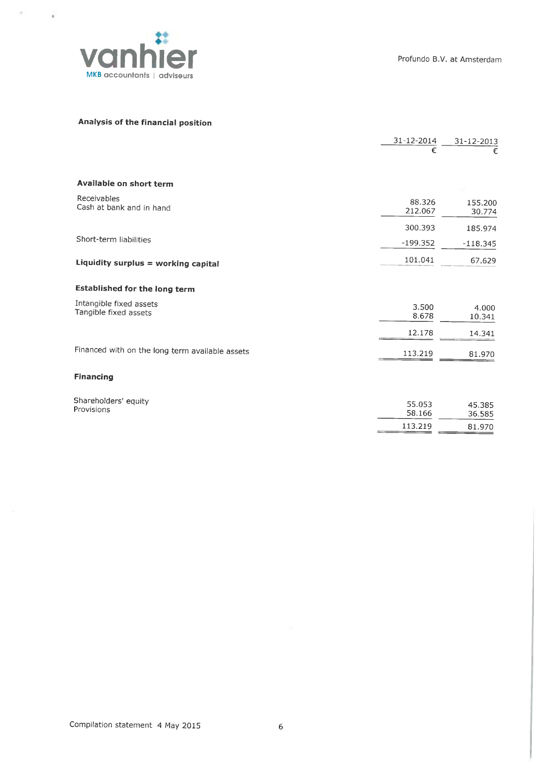

 $\sim$ 

 $\mathbb{R}^2$ 

# Analysis of the financial position

|                                                  | 31-12-2014        | 31-12-2013        |
|--------------------------------------------------|-------------------|-------------------|
|                                                  | €                 | €                 |
| Available on short term                          |                   |                   |
| Receivables<br>Cash at bank and in hand          | 88.326<br>212.067 | 155.200<br>30.774 |
|                                                  | 300.393           | 185.974           |
| Short-term liabilities                           | $-199.352$        | $-118.345$        |
| Liquidity surplus = working capital              | 101.041           | 67.629            |
| <b>Established for the long term</b>             |                   |                   |
| Intangible fixed assets<br>Tangible fixed assets | 3.500<br>8.678    | 4.000<br>10.341   |
|                                                  | 12.178            | 14.341            |
| Financed with on the long term available assets  | 113.219           | 81.970            |
| <b>Financing</b>                                 |                   |                   |
| Shareholders' equity<br>Provisions               | 55.053<br>58.166  | 45.385<br>36.585  |
|                                                  | 113.219           | 81.970            |
|                                                  |                   |                   |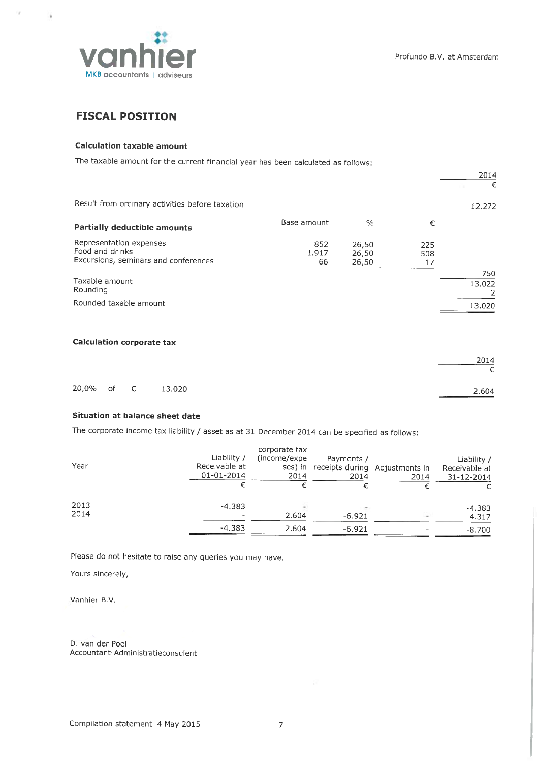

 $\bar{g}$ 

4

# **FISCAL POSITION**

## Calculation taxable amount

The taxable amount for the current financial year has been calculated as follows:

|                                                                                    |                    |                         |                  | 2014<br>€          |
|------------------------------------------------------------------------------------|--------------------|-------------------------|------------------|--------------------|
| Result from ordinary activities before taxation                                    |                    |                         |                  | 12.272             |
| <b>Partially deductible amounts</b>                                                | Base amount        | $\frac{0}{0}$           | €                |                    |
| Representation expenses<br>Food and drinks<br>Excursions, seminars and conferences | 852<br>1.917<br>66 | 26,50<br>26,50<br>26,50 | 225<br>508<br>17 |                    |
| Taxable amount<br>Rounding                                                         |                    |                         |                  | 750<br>13.022<br>2 |
| Rounded taxable amount                                                             |                    |                         |                  | 13.020             |
| <b>Calculation corporate tax</b>                                                   |                    |                         |                  |                    |
|                                                                                    |                    |                         |                  | 2014<br>€          |

|  |                   | ZU14  |
|--|-------------------|-------|
|  |                   |       |
|  | 20,0% of € 13.020 | 2.604 |

### Situation at balance sheet date

The corporate income tax liability / asset as at 31 December 2014 can be specified as follows:

| Year | Liability /<br>Receivable at<br>01-01-2014 | corporate tax<br>(income/expe)<br>ses) in<br>2014 | Payments /<br>receipts during Adjustments in<br>2014 | 2014 | Liability /<br>Receivable at<br>31-12-2014 |
|------|--------------------------------------------|---------------------------------------------------|------------------------------------------------------|------|--------------------------------------------|
| 2013 | $-4.383$                                   |                                                   |                                                      |      | $-4.383$                                   |
| 2014 | $\overline{\phantom{a}}$                   | 2.604                                             | $-6.921$                                             |      | $-4.317$                                   |
|      | $-4.383$                                   | 2.604                                             | $-6.921$                                             |      | $-8.700$                                   |

Please do not hesitate to raise any queries you may have.

Yours sincerely,

Vanhier B.V.

D. van der Poel Accountant-Administratieconsulent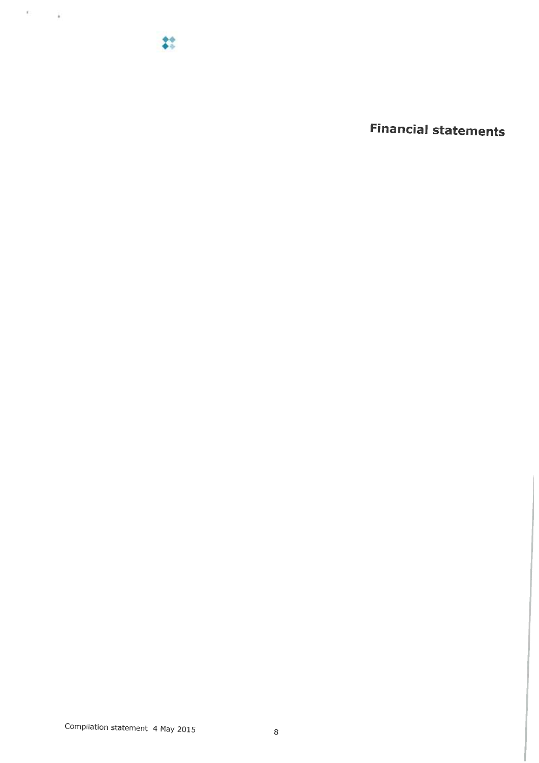$22$ 

 $\alpha = -\frac{1}{2}$ 

Financial statements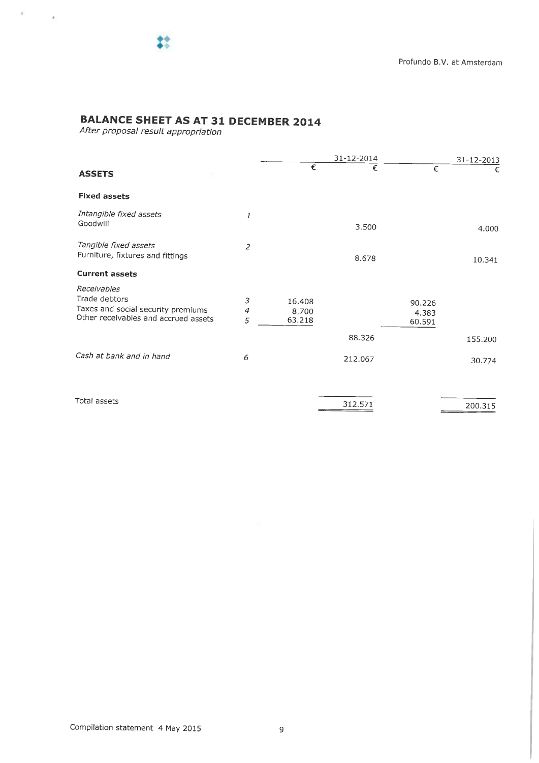$e \equiv -\frac{1}{2}$ 

# BALANCE SHEET AS AT 31 DECEMBER 2014

After proposal result appropriation

|                                                                                                            |                |                           | 31-12-2014 |                           | 31-12-2013 |
|------------------------------------------------------------------------------------------------------------|----------------|---------------------------|------------|---------------------------|------------|
| <b>ASSETS</b>                                                                                              |                | €                         | €          | €                         | €          |
| <b>Fixed assets</b>                                                                                        |                |                           |            |                           |            |
| Intangible fixed assets<br>Goodwill                                                                        | 1              |                           | 3.500      |                           | 4.000      |
| Tangible fixed assets<br>Furniture, fixtures and fittings                                                  | $\overline{2}$ |                           | 8.678      |                           | 10.341     |
| <b>Current assets</b>                                                                                      |                |                           |            |                           |            |
| Receivables<br>Trade debtors<br>Taxes and social security premiums<br>Other receivables and accrued assets | 3<br>4<br>5    | 16.408<br>8.700<br>63.218 |            | 90.226<br>4.383<br>60.591 |            |
|                                                                                                            |                |                           | 88.326     |                           | 155.200    |
| Cash at bank and in hand                                                                                   | 6              |                           | 212.067    |                           | 30.774     |
|                                                                                                            |                |                           |            |                           |            |
| Total assets                                                                                               |                |                           | 312.571    |                           | 200.315    |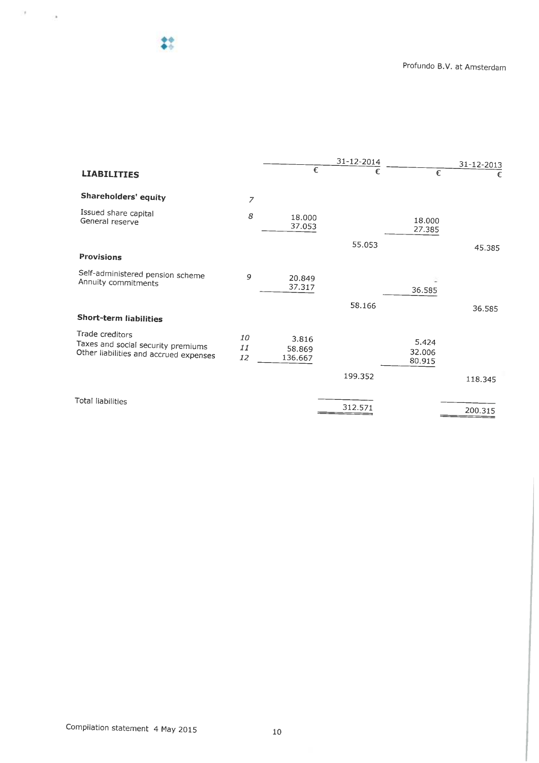♦.

 $\mathcal{D} = \mathcal{D}$ 

|                                                                                                 |                |                            | 31-12-2014 |                           | $31 - 12 - 2013$ |
|-------------------------------------------------------------------------------------------------|----------------|----------------------------|------------|---------------------------|------------------|
| <b>LIABILITIES</b>                                                                              |                | $\epsilon$                 | €          | €                         | €                |
| Shareholders' equity                                                                            | $\overline{z}$ |                            |            |                           |                  |
| Issued share capital<br>General reserve                                                         | 8              | 18.000<br>37.053           |            | 18.000<br>27.385          |                  |
|                                                                                                 |                |                            | 55.053     |                           | 45.385           |
| <b>Provisions</b>                                                                               |                |                            |            |                           |                  |
| Self-administered pension scheme<br>Annuity commitments                                         | 9              | 20.849<br>37.317           |            | 36.585                    |                  |
|                                                                                                 |                |                            | 58.166     |                           | 36.585           |
| <b>Short-term liabilities</b>                                                                   |                |                            |            |                           |                  |
| Trade creditors<br>Taxes and social security premiums<br>Other liabilities and accrued expenses | 10<br>11<br>12 | 3.816<br>58.869<br>136.667 |            | 5.424<br>32.006<br>80.915 |                  |
|                                                                                                 |                |                            | 199.352    |                           | 118.345          |
|                                                                                                 |                |                            |            |                           |                  |
| <b>Total liabilities</b>                                                                        |                |                            | 312.571    |                           | 200.315          |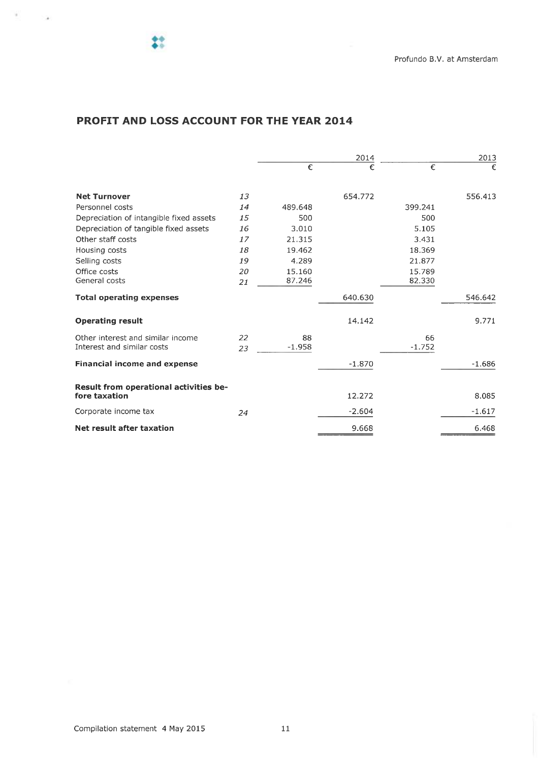$\mathcal{A}=\mathcal{A}$ 

# PROFIT AND LOSS ACCOUNT FOR THE YEAR 2014

|                                                         |    |          | 2014     |          |          |
|---------------------------------------------------------|----|----------|----------|----------|----------|
|                                                         |    | €        | €        | €        | €        |
| <b>Net Turnover</b>                                     | 13 |          | 654.772  |          | 556.413  |
| Personnel costs                                         | 14 | 489.648  |          | 399.241  |          |
| Depreciation of intangible fixed assets                 | 15 | 500      |          | 500      |          |
| Depreciation of tangible fixed assets                   | 16 | 3.010    |          | 5.105    |          |
| Other staff costs                                       | 17 | 21.315   |          | 3.431    |          |
| Housing costs                                           | 18 | 19.462   |          | 18.369   |          |
| Selling costs                                           | 19 | 4.289    |          | 21.877   |          |
| Office costs                                            | 20 | 15.160   |          | 15.789   |          |
| General costs                                           | 21 | 87.246   |          | 82.330   |          |
| <b>Total operating expenses</b>                         |    |          | 640.630  |          | 546.642  |
| <b>Operating result</b>                                 |    |          | 14.142   |          | 9.771    |
| Other interest and similar income                       | 22 | 88       |          | 66       |          |
| Interest and similar costs                              | 23 | $-1.958$ |          | $-1.752$ |          |
| <b>Financial income and expense</b>                     |    |          | $-1.870$ |          | $-1.686$ |
| Result from operational activities be-<br>fore taxation |    |          | 12.272   |          | 8.085    |
| Corporate income tax                                    | 24 |          | $-2.604$ |          | $-1.617$ |
| Net result after taxation                               |    |          | 9.668    |          | 6.468    |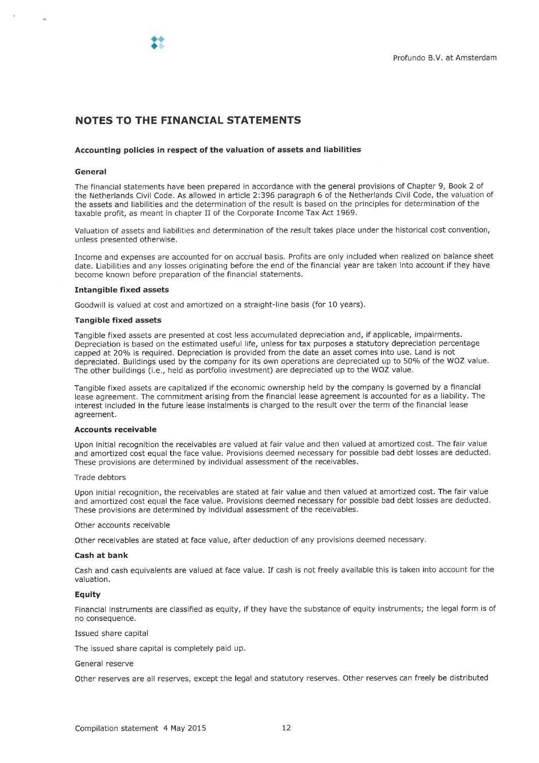# NOTES TO THE FINANCIAL STATEMENTS

#### Accounting policies in respect of the valuation of assets and liabilities

#### General

The financial statements have been prepared in accordance with the genera) provisions of Chapter 9, Book 2 of the Netherlands Civil Code. As allowed in articie 2:396 paragraph 6 of the Netherlands Civil Code, the valuation of the assets and liabilities and the determination of the result is based on the principles for determination of the taxable profit, as meant in chapter II of the Corporate Income Tax Act 1969.

Valuation of assets and liabilities and determination of the result takes place under the historical cost convention, unless presented otherwise.

Income and expenses are accounted for on accrual basis. Profits are only included when realized on balante sheet date. Liabilities and any losses originating before the end of the financial year are taken into account if they have become known before preparation of the financial statements.

#### Intangible fixed assets

Goodwill is valued at cost and amortized on a straight-line basis (for 10 years).

#### Tangible fixed assets

Tangible fixed assets are presented at cost less accumulated depreciation and, if applicable, impairments. Depreciation is based on the estimated useful life, unless for tax purposes <sup>a</sup>statutory depreciation percentage capped at 20% is required. Depreciation is provided from the date an asset comes into use. Land is not depreciated. Buildings used by the company for its own operations are depreciated up to 50% of the WOZ value. The other buildings (i.e., held as portfolio investment) are depreciated up to the WOZ value.

Tangible fixed assets are capitalized if the economie ownership held by the company is governed by a financial lease agreement. The commitment arising from the financial lease agreement is accounted for as <sup>a</sup>liability. The interest included in the future lease instalments is charged to the result over the term of the financial lease agreement.

#### Accounts receivable

Upon initial recognition the receivables are valwed at fair value and then valwed at amortized tost. The fair value and amortized tost equal the face value. Provisions deemed necessary for possible bad debt tosses are deducted. These provisions are determined by individual assessment of the receivables.

#### Trade debtors

Upon initial recognition, the receivables are stated at fair value and then valued at amortized cost. The fair value and amortized tost equal the face value. Provisions deemed necessary for possibie bad debt tosses are deducted. These provisions are determined by individual assessment of the receivabies.

Other accounts receivable

Other receivables are stated at face value, after deduction of any provisions deemed necessary.

#### Cash at bank

Cash and cash equivalents are valued at face value. If cash is not freely available this is taken into account for the valuation.

#### **Equity**

Financial instruments are classified as equity, if they have the substance of equity instruments; the legai form is of no consequence.

#### Issued share capita)

The issued share capital is completely paid up.

#### Genera) reserve

Other reserves are all reserves, except the legai and statutory reserves. Other reserves can freely be distributed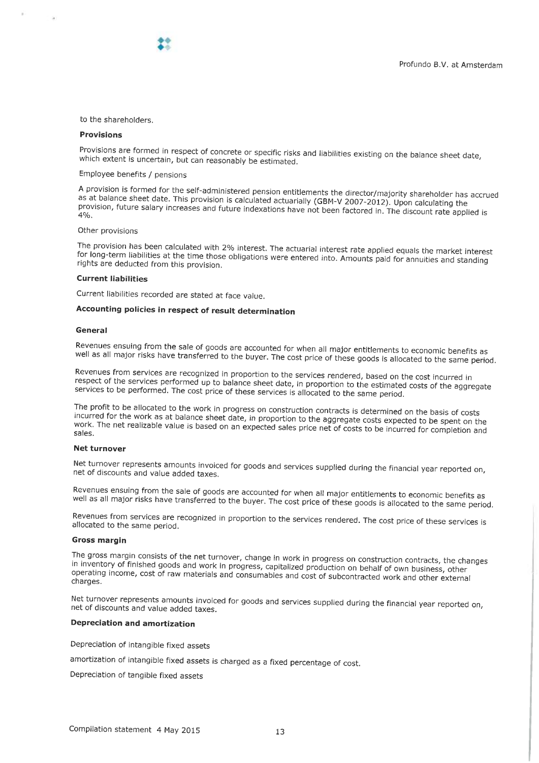to the shareholders.

#### Provisions

Provisions are formed in respect of concrete or specific risks and liabilities existing on the balance sheet date,<br>which extent is uncertain, but can reasonably be estimated.

### Employee benefits / pensions

A provision is formed for the self-administered pension entitlements the director/majority shareholder has accrued<br>as at balance sheet date. This provision is calculated actuarially (GBM-V 2007-2012). Upon calculating the<br>

#### Other provisions

The provision has been calculated with 2% interest. The actuarial interest rate applied equals the market interest<br>for long-term liabilities at the time those obligations were entered into. Amounts paid for annuities and s

#### Current liabilities

Current liabilities recorded are stated at face value.

 $\bullet$  ,

# Accounting policies in respect of result determination

#### **General**

Revenues ensuing from the sale of goods are accounted for when all major entitlements to economic benefits as<br>well as all major risks have transferred to the buyer. The cost price of these goods is allocated to the same pe

Revenues from services are recognized in proportion to the services rendered, based on the cost incurred in<br>respect of the services performed up to balance sheet date, in proportion to the estimated costs of the aggregate<br>

The profit to be allocated to the work in progress on construction contracts is determined on the basis of costs incurred for the work as at balance sheet date, in proportion to the aggregate costs expected to be spent on

#### **Net turnover**

Net turnover represents amounts invoiced for goods and services supplied during the financial year reported on,<br>net of discounts and value added taxes.

Revenues ensuing from the sale of goods are accounted for when all major entitlements to economic benefits as<br>well as all major risks have transferred to the buyer. The cost price of these goods is allocated to the same pe

Revenues from services are recognized in proportion to the services rendered. The cost price of these services is allocated to the same period.

#### Gross margin

The gross margin consists of the net turnover, change in work in progress on construction contracts, the changes<br>in inventory of finished goods and work in progress, capitalized production on behalf of own business, other<br>

Net turnover represents amounts invoiced for goods and services supplied during the financial year reported on,<br>net of discounts and value added taxes.

#### Depreciation and amortization

Depreciation of intangible fixed assets

amortization of intangible fixed assets is charged as a fixed percentage of cost.

Depreciation of tangible fixed assets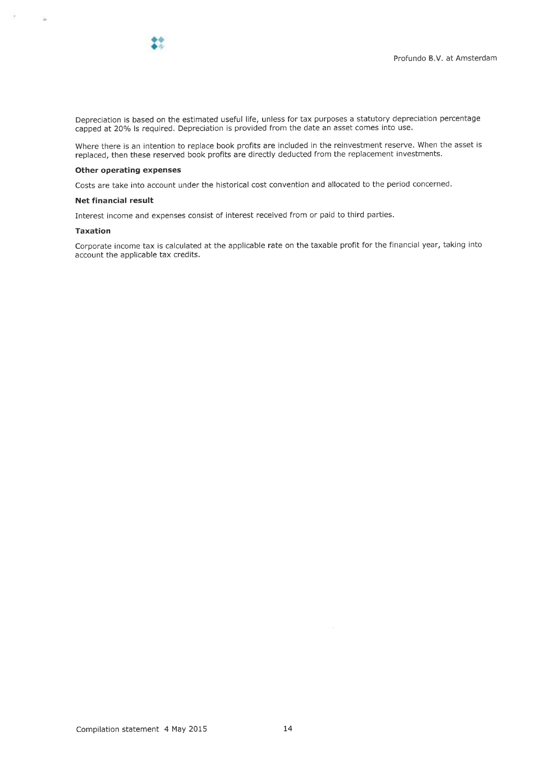

Depreciation is based on the estimated useful life, unless for tax purposes a statutory depreciation percentage capped at 20% is required. Depreciation is provided from the date an asset comes into use.

Where there is an intention to replace book profits are included in the reinvestment reserve. When the asset is replaced, then these reserved book profits are directly deducted from the replacement investments.

#### Other operating expenses

Costs are take into account under the historical cost convention and allocated to the period concernel.

#### Net financiat result

Interest income and expenses consist of interest received from or paid to third partjes.

#### Taxation

 $\sim$ 

宝

Corporate income tax is calculated at the applicable rate on the taxable profit for the financial year, taking into account the applicable tax credits.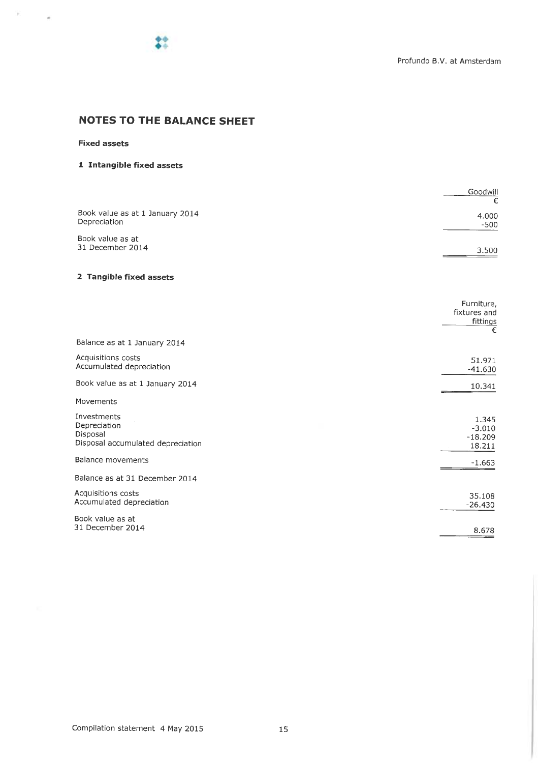

# NOTES TO THE BALANCE SHEET

# Fixed assets

 $\mathbb{R}^m \to \mathbb{R}$ 

# i Intangible fixed assets

|                                 | Goodwill |
|---------------------------------|----------|
|                                 | €        |
| Book value as at 1 January 2014 | 4.000    |
| Depreciation                    | $-500$   |
| Book value as at                |          |
| 31 December 2014                | 3.500    |
|                                 |          |

# 2 Tangible fixed assets

|                                                                              | Furniture,<br>fixtures and<br>fittings<br>€ |
|------------------------------------------------------------------------------|---------------------------------------------|
| Balance as at 1 January 2014                                                 |                                             |
| Acquisitions costs<br>Accumulated depreciation                               | 51.971<br>$-41.630$                         |
| Book value as at 1 January 2014                                              | 10.341                                      |
| Movements                                                                    |                                             |
| Investments<br>Depreciation<br>Disposal<br>Disposal accumulated depreciation | 1.345<br>$-3.010$<br>$-18.209$<br>18.211    |
| Balance movements                                                            | $-1.663$                                    |
| Balance as at 31 December 2014                                               |                                             |
| Acquisitions costs<br>Accumulated depreciation                               | 35.108<br>$-26.430$                         |
| Book value as at<br>31 December 2014                                         | 8.678                                       |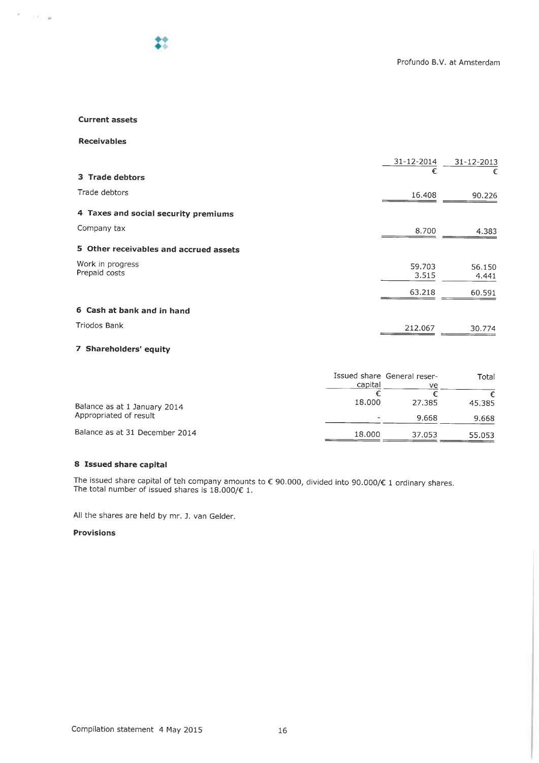#### Current assets

Receivables

 $\mathcal{F}=\mathcal{A}\otimes\mathcal{B}$ 

|                                        | 31-12-2014      | 31-12-2013      |
|----------------------------------------|-----------------|-----------------|
| 3 Trade debtors                        | €               |                 |
| Trade debtors                          | 16.408          | 90.226          |
| 4 Taxes and social security premiums   |                 |                 |
| Company tax                            | 8.700           | 4.383           |
| 5 Other receivables and accrued assets |                 |                 |
| Work in progress<br>Prepaid costs      | 59.703<br>3.515 | 56.150<br>4.441 |
|                                        | 63.218          | 60.591          |
| 6 Cash at bank and in hand             |                 |                 |
| Triodos Bank                           | 212.067         | 30.774          |

### 7 Shareholders' equity

|                                | capital | Issued share General reser-<br>ve. | Total  |
|--------------------------------|---------|------------------------------------|--------|
| Balance as at 1 January 2014   | 18,000  | 27.385                             | 45.385 |
| Appropriated of result         |         | 9.668                              | 9.668  |
| Balance as at 31 December 2014 | 18.000  | 37.053                             | 55.053 |

# 8 Issued share capita)

The issued share capita) of teh company amounts to € 90.000, divided into 90.000/€ 1 ordinary shares. The total number of issued shares is 18.000/€ 1.

All the shares are held by mr. J. van Gelder.

## Provisions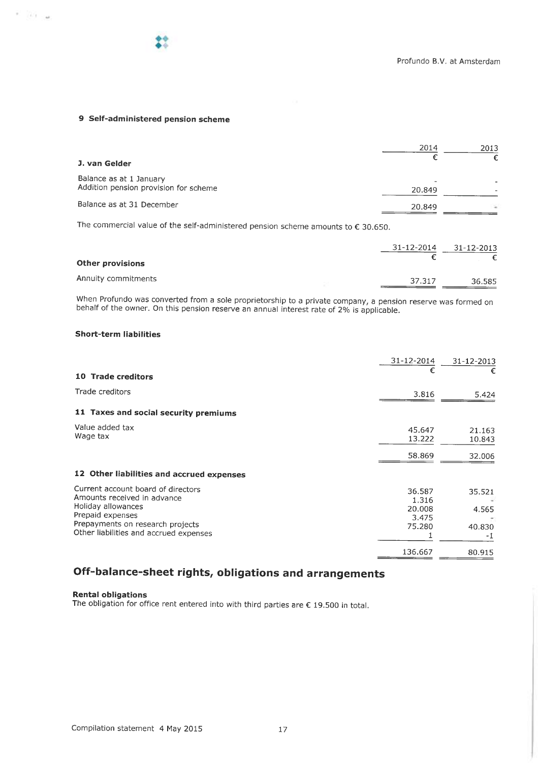$\sim 100$   $\mu$ 

# 9 Self-administered pension scheme

|                                       | 2014   | 2013 |
|---------------------------------------|--------|------|
| J. van Gelder                         |        |      |
| Balance as at 1 January               |        |      |
| Addition pension provision for scheme | 20,849 | ٠    |
| Balance as at 31 December             | 20.849 | ÷    |

The commercial value of the self-administered pension scheme amounts to  $\epsilon$  30.650.

| <b>Other provisions</b> | 31-12-2014 | 31-12-2013 |  |
|-------------------------|------------|------------|--|
| Annuity commitments     | 37.317     | 36.585     |  |

When Profundo was converted from a sole proprietorship to a private company, a pension reserve was formed on behalf of the owner. On this pension reserve an annual interest rate of 2% is applicable.

## Short-term liabilities

|                                                                                                                                                                                           | 31-12-2014                                   | 31-12-2013                      |
|-------------------------------------------------------------------------------------------------------------------------------------------------------------------------------------------|----------------------------------------------|---------------------------------|
| 10 Trade creditors                                                                                                                                                                        | €                                            |                                 |
| Trade creditors                                                                                                                                                                           | 3.816                                        | 5.424                           |
| 11 Taxes and social security premiums                                                                                                                                                     |                                              |                                 |
| Value added tax<br>Wage tax                                                                                                                                                               | 45.647<br>13.222                             | 21.163<br>10.843                |
|                                                                                                                                                                                           | 58.869                                       | 32.006                          |
| 12 Other liabilities and accrued expenses                                                                                                                                                 |                                              |                                 |
| Current account board of directors<br>Amounts received in advance<br>Holiday allowances<br>Prepaid expenses<br>Prepayments on research projects<br>Other liabilities and accrued expenses | 36.587<br>1.316<br>20,008<br>3.475<br>75.280 | 35.521<br>4.565<br>40.830<br>-1 |
|                                                                                                                                                                                           | 136.667                                      | 80.915                          |

# Off-balance-sheet rights, obligations and arrangements

Rental obligations

The obligation for office rent entered into with third parties are  $\epsilon$  19.500 in total.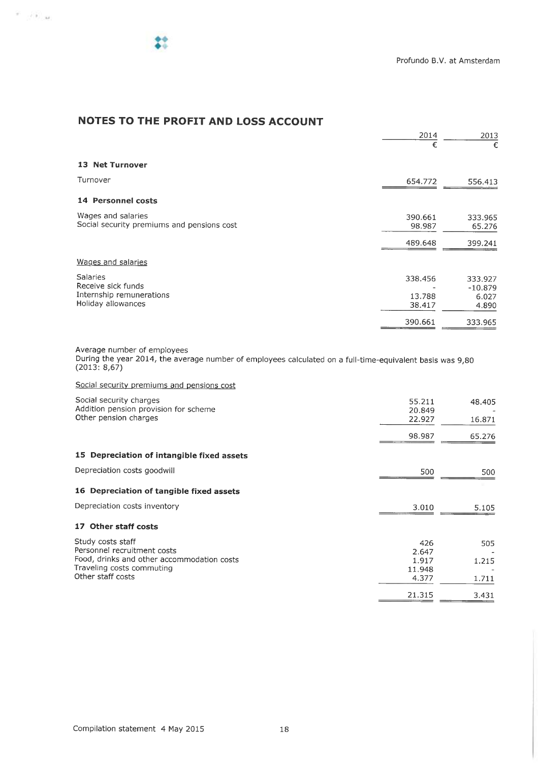$\mathcal{P}=\{0,1,2\}$ 

# NOTES TO THE PROFIT AND LOSS ACCOUNT

|                                                                                         | 2014                        | 2013                                   |
|-----------------------------------------------------------------------------------------|-----------------------------|----------------------------------------|
|                                                                                         | €                           | €                                      |
| <b>13 Net Turnover</b>                                                                  |                             |                                        |
| Turnover                                                                                | 654.772                     | 556.413                                |
| 14 Personnel costs                                                                      |                             |                                        |
| Wages and salaries<br>Social security premiums and pensions cost                        | 390.661<br>98.987           | 333.965<br>65.276                      |
|                                                                                         | 489.648                     | 399.241                                |
| Wages and salaries                                                                      |                             |                                        |
| <b>Salaries</b><br>Receive sick funds<br>Internship remunerations<br>Holiday allowances | 338.456<br>13.788<br>38.417 | 333.927<br>$-10.879$<br>6.027<br>4.890 |
|                                                                                         | 390.661                     | 333.965                                |

Average number of employees

During the year 2014, the average number of employees calculated on a full-time-equivalent basis was 9,80 (2013: 8,67)

Social security premiums and pensions cost

| Social security charges                                        | 55.211           | 48.405 |
|----------------------------------------------------------------|------------------|--------|
| Addition pension provision for scheme<br>Other pension charges | 20.849<br>22.927 | 16.871 |
|                                                                |                  |        |
|                                                                | 98.987           | 65.276 |
| 15 Depreciation of intangible fixed assets                     |                  |        |
| Depreciation costs goodwill                                    | 500              | 500    |
| 16 Depreciation of tangible fixed assets                       |                  |        |
| Depreciation costs inventory                                   | 3.010            | 5.105  |
| 17 Other staff costs                                           |                  |        |
| Study costs staff                                              | 426              | 505    |
| Personnel recruitment costs                                    | 2.647            |        |
| Food, drinks and other accommodation costs                     | 1.917            | 1.215  |
| Traveling costs commuting                                      | 11.948           |        |
| Other staff costs                                              | 4.377            | 1.711  |
|                                                                | 21.315           | 3.431  |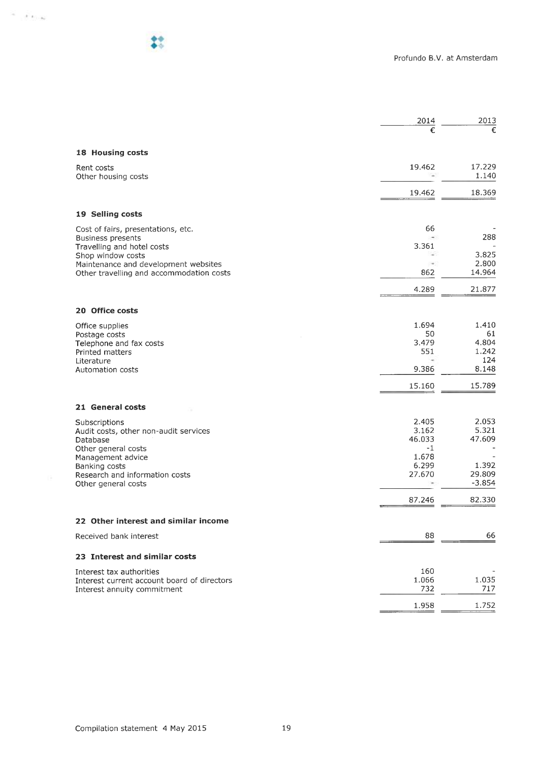|                                                                                  | 2014          | 2013            |
|----------------------------------------------------------------------------------|---------------|-----------------|
|                                                                                  | €             | €               |
| 18 Housing costs                                                                 |               |                 |
| Rent costs<br>Other housing costs                                                | 19.462        | 17.229<br>1.140 |
|                                                                                  | 19.462        | 18.369          |
| 19 Selling costs                                                                 |               |                 |
|                                                                                  |               |                 |
| Cost of fairs, presentations, etc.<br><b>Business presents</b>                   | 66            | 288             |
| Travelling and hotel costs                                                       | 3.361         |                 |
| Shop window costs                                                                |               | 3.825           |
| Maintenance and development websites<br>Other travelling and accommodation costs | ٠<br>862      | 2.800<br>14.964 |
|                                                                                  | 4.289         | 21.877          |
| 20 Office costs                                                                  |               |                 |
|                                                                                  |               |                 |
| Office supplies                                                                  | 1.694<br>50   | 1.410<br>61     |
| Postage costs<br>Telephone and fax costs                                         | 3.479         | 4.804           |
| Printed matters                                                                  | 551           | 1.242           |
| Literature                                                                       |               | 124             |
| Automation costs                                                                 | 9.386         | 8.148           |
|                                                                                  | 15.160        | 15.789          |
| 21 General costs                                                                 |               |                 |
| Subscriptions                                                                    | 2.405         | 2.053           |
| Audit costs, other non-audit services                                            | 3.162         | 5.321           |
| Database                                                                         | 46.033        | 47.609          |
| Other general costs<br>Management advice                                         | $-1$<br>1.678 |                 |
| Banking costs                                                                    | 6.299         | 1.392           |
| Research and information costs                                                   | 27.670        | 29.809          |
| Other general costs                                                              |               | $-3.854$        |
|                                                                                  | 87.246        | 82.330          |
| 22 Other interest and similar income                                             |               |                 |
| Received bank interest                                                           | 88            | 66              |
| 23 Interest and similar costs                                                    |               |                 |
| Interest tax authorities                                                         | 160           |                 |
| Interest current account board of directors                                      | 1.066         | 1.035           |
| Interest annuity commitment                                                      | 732           | 717             |
|                                                                                  | 1.958         | 1.752           |
|                                                                                  |               |                 |

 $\sigma=\sigma_{\rm{1.46}}$ 

 $10 - 40$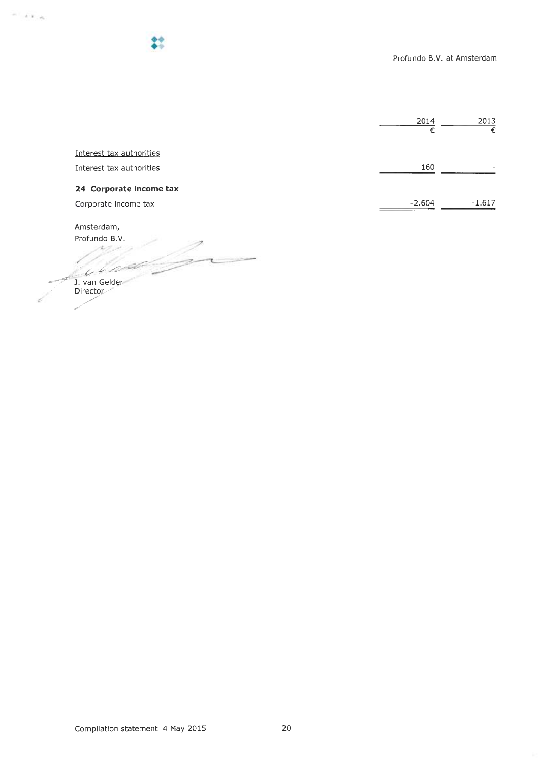|                          | 2014     | 2013     |
|--------------------------|----------|----------|
|                          | €        | €        |
| Interest tax authorities |          |          |
| Interest tax authorities | 160      |          |
| 24 Corporate income tax  |          |          |
| Corporate income tax     | $-2.604$ | $-1.617$ |

Amsterdam,

 $\epsilon$   $/$ 

 $\sim$  1.  $\alpha$   $_{\rm H}$ 

Profundo B.V.  $\sqrt{2\pi\omega}$ -~~`~ J. van Geldei Director-